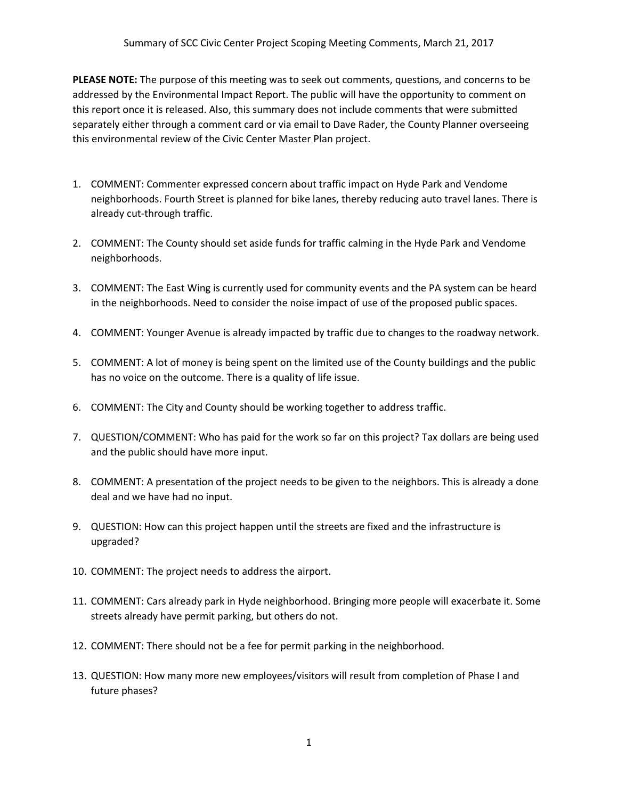**PLEASE NOTE:** The purpose of this meeting was to seek out comments, questions, and concerns to be addressed by the Environmental Impact Report. The public will have the opportunity to comment on this report once it is released. Also, this summary does not include comments that were submitted separately either through a comment card or via email to Dave Rader, the County Planner overseeing this environmental review of the Civic Center Master Plan project.

- 1. COMMENT: Commenter expressed concern about traffic impact on Hyde Park and Vendome neighborhoods. Fourth Street is planned for bike lanes, thereby reducing auto travel lanes. There is already cut-through traffic.
- 2. COMMENT: The County should set aside funds for traffic calming in the Hyde Park and Vendome neighborhoods.
- 3. COMMENT: The East Wing is currently used for community events and the PA system can be heard in the neighborhoods. Need to consider the noise impact of use of the proposed public spaces.
- 4. COMMENT: Younger Avenue is already impacted by traffic due to changes to the roadway network.
- 5. COMMENT: A lot of money is being spent on the limited use of the County buildings and the public has no voice on the outcome. There is a quality of life issue.
- 6. COMMENT: The City and County should be working together to address traffic.
- 7. QUESTION/COMMENT: Who has paid for the work so far on this project? Tax dollars are being used and the public should have more input.
- 8. COMMENT: A presentation of the project needs to be given to the neighbors. This is already a done deal and we have had no input.
- 9. QUESTION: How can this project happen until the streets are fixed and the infrastructure is upgraded?
- 10. COMMENT: The project needs to address the airport.
- 11. COMMENT: Cars already park in Hyde neighborhood. Bringing more people will exacerbate it. Some streets already have permit parking, but others do not.
- 12. COMMENT: There should not be a fee for permit parking in the neighborhood.
- 13. QUESTION: How many more new employees/visitors will result from completion of Phase I and future phases?